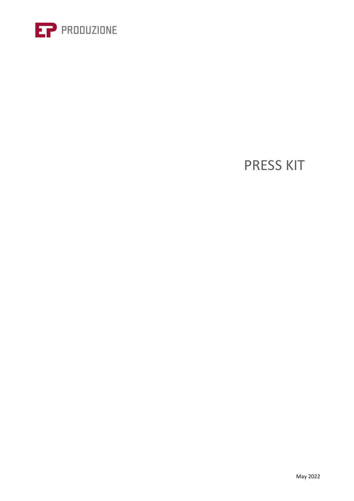

# PRESS KIT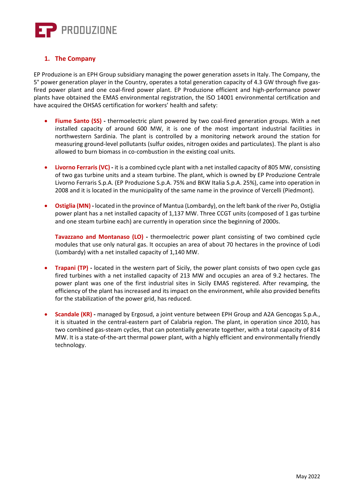

## **1. The Company**

EP Produzione is an EPH Group subsidiary managing the power generation assets in Italy. The Company, the 5° power generation player in the Country, operates a total generation capacity of 4.3 GW through five gasfired power plant and one coal-fired power plant. EP Produzione efficient and high-performance power plants have obtained the EMAS environmental registration, the ISO 14001 environmental certification and have acquired the OHSAS certification for workers' health and safety:

- **Fiume Santo (SS) -** thermoelectric plant powered by two coal-fired generation groups. With a net installed capacity of around 600 MW, it is one of the most important industrial facilities in northwestern Sardinia. The plant is controlled by a monitoring network around the station for measuring ground-level pollutants (sulfur oxides, nitrogen oxides and particulates). The plant is also allowed to burn biomass in co-combustion in the existing coal units.
- **Livorno Ferraris (VC) -** it is a combined cycle plant with a net installed capacity of 805 MW, consisting of two gas turbine units and a steam turbine. The plant, which is owned by EP Produzione Centrale Livorno Ferraris S.p.A. (EP Produzione S.p.A. 75% and BKW Italia S.p.A. 25%), came into operation in 2008 and it is located in the municipality of the same name in the province of Vercelli (Piedmont).
- **Ostiglia (MN) -** located in the province of Mantua (Lombardy), on the left bank of the river Po, Ostiglia power plant has a net installed capacity of 1,137 MW. Three CCGT units (composed of 1 gas turbine and one steam turbine each) are currently in operation since the beginning of 2000s.

**Tavazzano and Montanaso (LO)** - thermoelectric power plant consisting of two combined cycle modules that use only natural gas. It occupies an area of about 70 hectares in the province of Lodi (Lombardy) with a net installed capacity of 1,140 MW.

- **Trapani (TP) -** located in the western part of Sicily, the power plant consists of two open cycle gas fired turbines with a net installed capacity of 213 MW and occupies an area of 9.2 hectares. The power plant was one of the first industrial sites in Sicily EMAS registered. After revamping, the efficiency of the plant has increased and its impact on the environment, while also provided benefits for the stabilization of the power grid, has reduced.
- **Scandale (KR) -** managed by Ergosud, a joint venture between EPH Group and A2A Gencogas S.p.A., it is situated in the central-eastern part of Calabria region. The plant, in operation since 2010, has two combined gas-steam cycles, that can potentially generate together, with a total capacity of 814 MW. It is a state-of-the-art thermal power plant, with a highly efficient and environmentally friendly technology.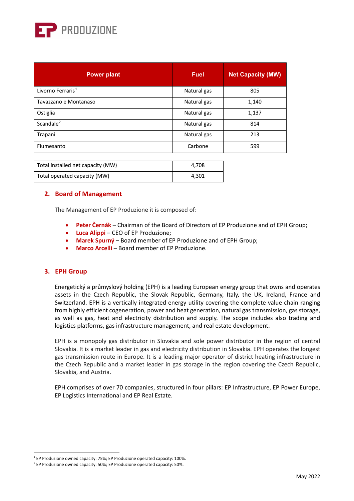

| <b>Power plant</b>            | <b>Fuel</b> | <b>Net Capacity (MW)</b> |
|-------------------------------|-------------|--------------------------|
| Livorno Ferraris <sup>1</sup> | Natural gas | 805                      |
| Tavazzano e Montanaso         | Natural gas | 1,140                    |
| Ostiglia                      | Natural gas | 1,137                    |
| Scandale <sup>2</sup>         | Natural gas | 814                      |
| Trapani                       | Natural gas | 213                      |
| Fiumesanto                    | Carbone     | 599                      |

| Total installed net capacity (MW) | 4.708 |
|-----------------------------------|-------|
| Total operated capacity (MW)      | 4.301 |

#### **2. Board of Management**

The Management of EP Produzione it is composed of:

- **Peter Černák**  Chairman of the Board of Directors of EP Produzione and of EPH Group;
- **Luca Alippi** CEO of EP Produzione;
- **Marek Spurný** Board member of EP Produzione and of EPH Group;
- **Marco Arcelli** Board member of EP Produzione.

### **3. EPH Group**

Energetický a průmyslový holding (EPH) is a leading European energy group that owns and operates assets in the Czech Republic, the Slovak Republic, Germany, Italy, the UK, Ireland, France and Switzerland. EPH is a vertically integrated energy utility covering the complete value chain ranging from highly efficient cogeneration, power and heat generation, natural gas transmission, gas storage, as well as gas, heat and electricity distribution and supply. The scope includes also trading and logistics platforms, gas infrastructure management, and real estate development.

EPH is a monopoly gas distributor in Slovakia and sole power distributor in the region of central Slovakia. It is a market leader in gas and electricity distribution in Slovakia. EPH operates the longest gas transmission route in Europe. It is a leading major operator of district heating infrastructure in the Czech Republic and a market leader in gas storage in the region covering the Czech Republic, Slovakia, and Austria.

EPH comprises of over 70 companies, structured in four pillars: EP Infrastructure, EP Power Europe, EP Logistics International and EP Real Estate.

<sup>&</sup>lt;sup>1</sup> EP Produzione owned capacity: 75%; EP Produzione operated capacity: 100%.

<span id="page-2-1"></span><span id="page-2-0"></span><sup>&</sup>lt;sup>2</sup> EP Produzione owned capacity: 50%; EP Produzione operated capacity: 50%.